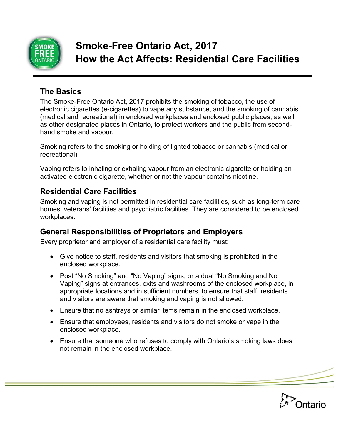

# **The Basics**

The Smoke-Free Ontario Act, 2017 prohibits the smoking of tobacco, the use of electronic cigarettes (e-cigarettes) to vape any substance, and the smoking of cannabis (medical and recreational) in enclosed workplaces and enclosed public places, as well as other designated places in Ontario, to protect workers and the public from secondhand smoke and vapour.

Smoking refers to the smoking or holding of lighted tobacco or cannabis (medical or recreational).

Vaping refers to inhaling or exhaling vapour from an electronic cigarette or holding an activated electronic cigarette, whether or not the vapour contains nicotine.

#### **Residential Care Facilities**

Smoking and vaping is not permitted in residential care facilities, such as long-term care homes, veterans' facilities and psychiatric facilities. They are considered to be enclosed workplaces.

# **General Responsibilities of Proprietors and Employers**

Every proprietor and employer of a residential care facility must:

- Give notice to staff, residents and visitors that smoking is prohibited in the enclosed workplace.
- Post "No Smoking" and "No Vaping" signs, or a dual "No Smoking and No Vaping" signs at entrances, exits and washrooms of the enclosed workplace, in appropriate locations and in sufficient numbers, to ensure that staff, residents and visitors are aware that smoking and vaping is not allowed.
- Ensure that no ashtrays or similar items remain in the enclosed workplace.
- Ensure that employees, residents and visitors do not smoke or vape in the enclosed workplace.
- Ensure that someone who refuses to comply with Ontario's smoking laws does not remain in the enclosed workplace.

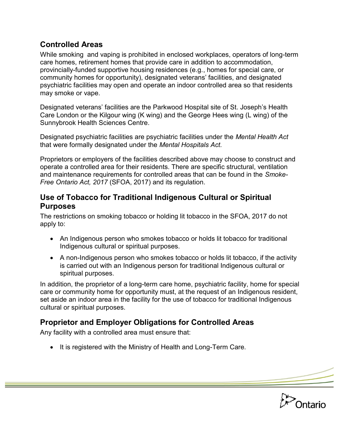## **Controlled Areas**

While smoking and vaping is prohibited in enclosed workplaces, operators of long-term care homes, retirement homes that provide care in addition to accommodation, provincially-funded supportive housing residences (e.g., homes for special care, or community homes for opportunity), designated veterans' facilities, and designated psychiatric facilities may open and operate an indoor controlled area so that residents may smoke or vape.

Designated veterans' facilities are the Parkwood Hospital site of St. Joseph's Health Care London or the Kilgour wing (K wing) and the George Hees wing (L wing) of the Sunnybrook Health Sciences Centre.

Designated psychiatric facilities are psychiatric facilities under the *Mental Health Act* that were formally designated under the *Mental Hospitals Act.* 

Proprietors or employers of the facilities described above may choose to construct and operate a controlled area for their residents. There are specific structural, ventilation and maintenance requirements for controlled areas that can be found in the *Smoke-Free Ontario Act, 2017* (SFOA, 2017) and its regulation.

#### **Use of Tobacco for Traditional Indigenous Cultural or Spiritual Purposes**

The restrictions on smoking tobacco or holding lit tobacco in the SFOA, 2017 do not apply to:

- An Indigenous person who smokes tobacco or holds lit tobacco for traditional Indigenous cultural or spiritual purposes.
- A non-Indigenous person who smokes tobacco or holds lit tobacco, if the activity is carried out with an Indigenous person for traditional Indigenous cultural or spiritual purposes.

In addition, the proprietor of a long-term care home, psychiatric facility, home for special care or community home for opportunity must, at the request of an Indigenous resident, set aside an indoor area in the facility for the use of tobacco for traditional Indigenous cultural or spiritual purposes.

# **Proprietor and Employer Obligations for Controlled Areas**

Any facility with a controlled area must ensure that:

• It is registered with the Ministry of Health and Long-Term Care.

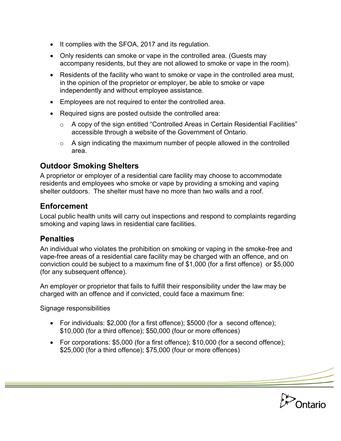- It complies with the SFOA, 2017 and its regulation.
- Only residents can smoke or vape in the controlled area. (Guests may accompany residents, but they are not allowed to smoke or vape in the room).
- Residents of the facility who want to smoke or vape in the controlled area must, in the opinion of the proprietor or employer, be able to smoke or vape independently and without employee assistance.
- Employees are not required to enter the controlled area.
- Required signs are posted outside the controlled area:
	- o A copy of the sign entitled "Controlled Areas in Certain Residential Facilities" accessible through a website of the Government of Ontario.
	- $\circ$  A sign indicating the maximum number of people allowed in the controlled area.

## **Outdoor Smoking Shelters**

A proprietor or employer of a residential care facility may choose to accommodate residents and employees who smoke or vape by providing a smoking and vaping shelter outdoors. The shelter must have no more than two walls and a roof.

## **Enforcement**

Local public health units will carry out inspections and respond to complaints regarding smoking and vaping laws in residential care facilities.

#### **Penalties**

An individual who violates the prohibition on smoking or vaping in the smoke-free and vape-free areas of a residential care facility may be charged with an offence, and on conviction could be subject to a maximum fine of \$1,000 (for a first offence) or \$5,000 (for any subsequent offence).

An employer or proprietor that fails to fulfill their responsibility under the law may be charged with an offence and if convicted, could face a maximum fine:

Signage responsibilities

- For individuals: \$2,000 (for a first offence); \$5000 (for a second offence); \$10,000 (for a third offence); \$50,000 (four or more offences)
- For corporations: \$5,000 (for a first offence); \$10,000 (for a second offence); \$25,000 (for a third offence); \$75,000 (four or more offences)